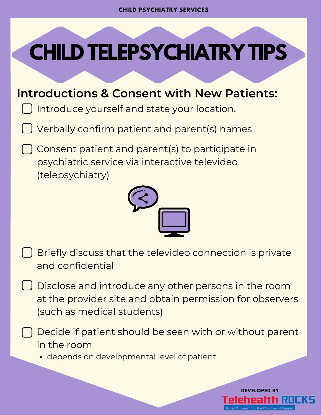# **CHILD TELEPSYCHIATRY TIPS**

## **Introductions & Consent with New Patients:**

**O** Introduce yourself and state your location.

Verbally confirm patient and parent(s) names

Consent patient and parent(s) to participate in psychiatric service via interactive televideo (telepsychiatry)



- Briefly discuss that the televideo connection is private and confidential
- Disclose and introduce any other persons in the room at the provider site and obtain permission for observers (such as medical students)
	- Decide if patient should be seen with or without parent in the room

depends on developmental level of patient